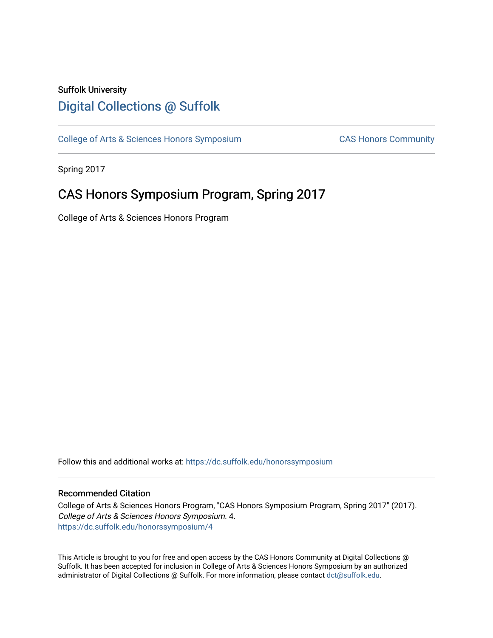# Suffolk University [Digital Collections @ Suffolk](https://dc.suffolk.edu/)

[College of Arts & Sciences Honors Symposium](https://dc.suffolk.edu/honorssymposium) CAS Honors Community

Spring 2017

# CAS Honors Symposium Program, Spring 2017

College of Arts & Sciences Honors Program

Follow this and additional works at: [https://dc.suffolk.edu/honorssymposium](https://dc.suffolk.edu/honorssymposium?utm_source=dc.suffolk.edu%2Fhonorssymposium%2F4&utm_medium=PDF&utm_campaign=PDFCoverPages) 

#### Recommended Citation

College of Arts & Sciences Honors Program, "CAS Honors Symposium Program, Spring 2017" (2017). College of Arts & Sciences Honors Symposium. 4. [https://dc.suffolk.edu/honorssymposium/4](https://dc.suffolk.edu/honorssymposium/4?utm_source=dc.suffolk.edu%2Fhonorssymposium%2F4&utm_medium=PDF&utm_campaign=PDFCoverPages)

This Article is brought to you for free and open access by the CAS Honors Community at Digital Collections @ Suffolk. It has been accepted for inclusion in College of Arts & Sciences Honors Symposium by an authorized administrator of Digital Collections @ Suffolk. For more information, please contact [dct@suffolk.edu.](mailto:dct@suffolk.edu)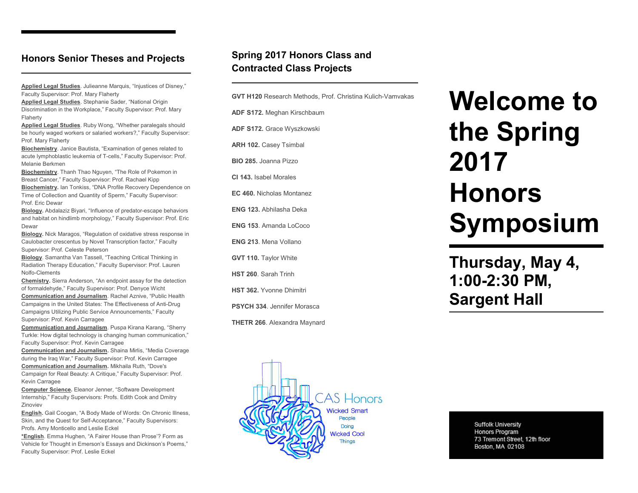### **Honors Senior Theses and Projects**

**Applied Legal Studies**. Julieanne Marquis, "Injustices of Disney," Faculty Supervisor: Prof. Mary Flaherty

**Applied Legal Studies**. Stephanie Sader, "National Origin Discrimination in the Workplace," Faculty Supervisor: Prof. Mary Flaherty

**Applied Legal Studies**. Ruby Wong, "Whether paralegals should be hourly waged workers or salaried workers?," Faculty Supervisor: Prof. Mary Flaherty

**Biochemistry**. Janice Bautista, "Examination of genes related to acute lymphoblastic leukemia of T-cells," Faculty Supervisor: Prof. Melanie Berkmen

**Biochemistry**. Thanh Thao Nguyen, "The Role of Pokemon in Breast Cancer," Faculty Supervisor: Prof. Rachael Kipp

**Biochemistry.** Ian Tonkiss, "DNA Profile Recovery Dependence on Time of Collection and Quantity of Sperm," Faculty Supervisor: Prof. Eric Dewar

**Biology.** Abdalaziz Biyari, "Influence of predator-escape behaviors and habitat on hindlimb morphology," Faculty Supervisor: Prof. Eric Dewar

**Biology.** Nick Maragos, "Regulation of oxidative stress response in Caulobacter crescentus by Novel Transcription factor," Faculty Supervisor: Prof. Celeste Peterson

**Biology**. Samantha Van Tassell, "Teaching Critical Thinking in Radiation Therapy Education," Faculty Supervisor: Prof. Lauren Nolfo-Clements

**Chemistry.** Sierra Anderson, "An endpoint assay for the detection of formaldehyde," Faculty Supervisor: Prof. Denyce Wicht **Communication and Journalism**. Rachel Aznive, "Public Health Campaigns in the United States: The Effectiveness of Anti-Drug Campaigns Utilizing Public Service Announcements," Faculty Supervisor: Prof. Kevin Carragee

**Communication and Journalism**. Puspa Kirana Karang, "Sherry Turkle: How digital technology is changing human communication," Faculty Supervisor: Prof. Kevin Carragee

**Communication and Journalism.** Shaina Mirlis, "Media Coverage during the Iraq War," Faculty Supervisor: Prof. Kevin Carragee **Communication and Journalism.** Mikhaila Ruth, "Dove's Campaign for Real Beauty: A Critique," Faculty Supervisor: Prof. Kevin Carragee

**Computer Science.** Eleanor Jenner, "Software Development Internship," Faculty Supervisors: Profs. Edith Cook and Dmitry Zinoviev

**English.** Gail Coogan, "A Body Made of Words: On Chronic Illness, Skin, and the Quest for Self-Acceptance," Faculty Supervisors: Profs. Amy Monticello and Leslie Eckel

**\*English**. Emma Hughen, "A Fairer House than Prose'? Form as Vehicle for Thought in Emerson's Essays and Dickinson's Poems," Faculty Supervisor: Prof. Leslie Eckel

## **Spring 2017 Honors Class and Contracted Class Projects**

**GVT H120** Research Methods, Prof. Christina Kulich-Vamvakas

**ADF S172.** Meghan Kirschbaum

**ADF S172.** Grace Wyszkowski

**ARH 102.** Casey Tsimbal

**BIO 285.** Joanna Pizzo

**CI 143.** Isabel Morales

**EC 460.** Nicholas Montanez

**ENG 123.** Abhilasha Deka

**ENG 153**. Amanda LoCoco

**ENG 213**. Mena Vollano

**GVT 110.** Taylor White

**HST 260**. Sarah Trinh

**HST 362.** Yvonne Dhimitri

**PSYCH 334**. Jennifer Morasca

**THETR 266**. Alexandra Maynard

# **Welcome to the Spring 2017 Honors Symposium**

**Thursday, May 4, 1:00-2:30 PM, Sargent Hall**



**Suffolk University** Honors Program 73 Tremont Street, 12th floor Boston, MA 02108